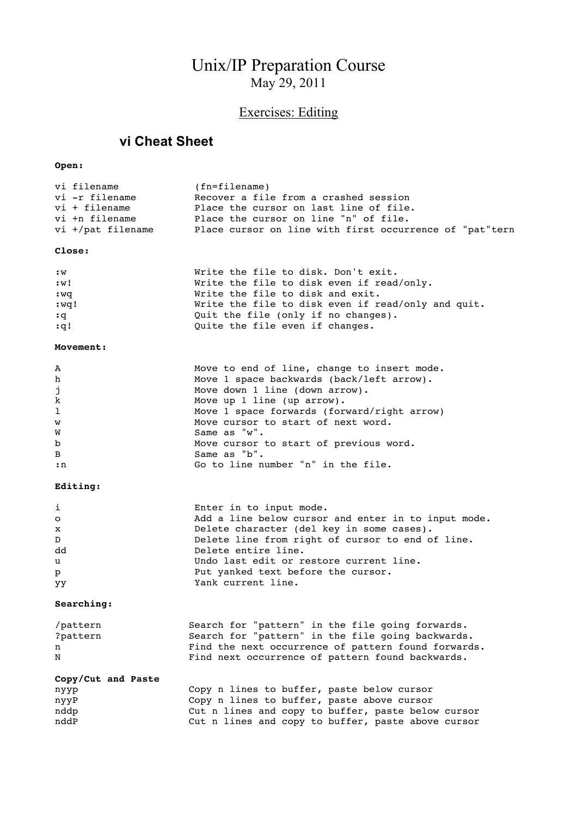# Unix/IP Preparation Course May 29, 2011

# Exercises: Editing

### **vi Cheat Sheet**

#### **Open:**

| vi filename       | $(fn = f\texttt{ilename})$                              |
|-------------------|---------------------------------------------------------|
| vi -r filename    | Recover a file from a crashed session                   |
| $vi + fil$        | Place the cursor on last line of file.                  |
| vi +n filename    | Place the cursor on line "n" of file.                   |
| vi +/pat filename | Place cursor on line with first occurrence of "pat"tern |

#### **Close:**

| : W  | Write the file to disk. Don't exit.                |
|------|----------------------------------------------------|
| :w!  | Write the file to disk even if read/only.          |
| :wq  | Write the file to disk and exit.                   |
| :wq! | Write the file to disk even if read/only and quit. |
| : q  | Quit the file (only if no changes).                |
| :q!  | Quite the file even if changes.                    |

#### **Movement:**

| A            | Move to end of line, change to insert mode. |
|--------------|---------------------------------------------|
| h            | Move 1 space backwards (back/left arrow).   |
| j            | Move down 1 line (down arrow).              |
| $\mathbf k$  | Move up $1$ line (up arrow).                |
| $\mathbf{1}$ | Move 1 space forwards (forward/right arrow) |
| W            | Move cursor to start of next word.          |
| W            | Same as "w".                                |
| $\mathbf b$  | Move cursor to start of previous word.      |
| B            | Same as "b".                                |
| :n           | Go to line number "n" in the file.          |

#### **Editing:**

| i            | Enter in to input mode.                             |
|--------------|-----------------------------------------------------|
| $\circ$      | Add a line below cursor and enter in to input mode. |
| $\mathbf{x}$ | Delete character (del key in some cases).           |
| D            | Delete line from right of cursor to end of line.    |
| dd           | Delete entire line.                                 |
| u            | Undo last edit or restore current line.             |
| $\mathbf{p}$ | Put yanked text before the cursor.                  |
| yy           | Yank current line.                                  |
|              |                                                     |

#### **Searching:**

| /pattern | Search for "pattern" in the file going forwards.    |
|----------|-----------------------------------------------------|
| ?pattern | Search for "pattern" in the file going backwards.   |
| n.       | Find the next occurrence of pattern found forwards. |
| N        | Find next occurrence of pattern found backwards.    |

#### **Copy/Cut and Paste** nyyp Copy n lines to buffer, paste below cursor nyyP Copy n lines to buffer, paste above cursor nddp Cut n lines and copy to buffer, paste below cursor nddP Cut n lines and copy to buffer, paste above cursor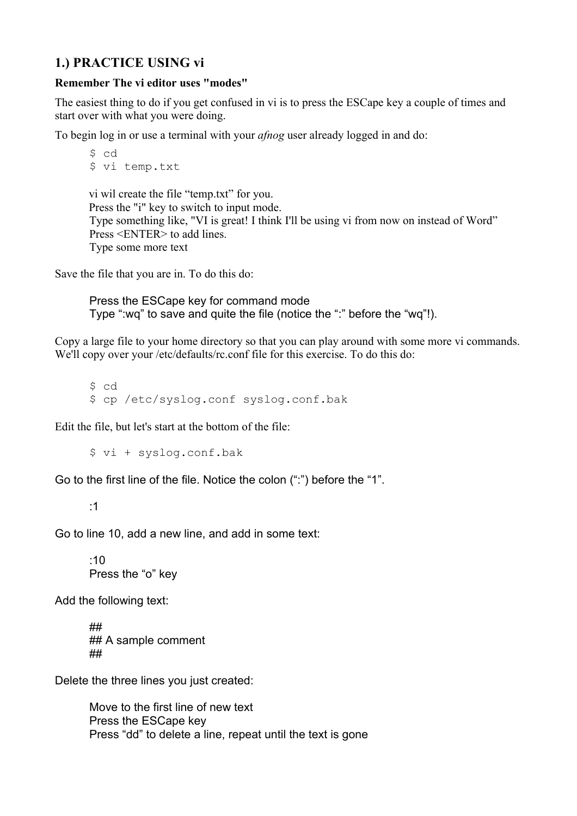## **1.) PRACTICE USING vi**

### **Remember The vi editor uses "modes"**

The easiest thing to do if you get confused in vi is to press the ESCape key a couple of times and start over with what you were doing.

To begin log in or use a terminal with your *afnog* user already logged in and do:

```
$ cd
$ vi temp.txt
vi wil create the file "temp.txt" for you.
Press the "i" key to switch to input mode. 
Type something like, "VI is great! I think I'll be using vi from now on instead of Word"
Press <ENTER> to add lines.
Type some more text
```
Save the file that you are in. To do this do:

Press the ESCape key for command mode Type ":wq" to save and quite the file (notice the ":" before the "wq"!).

Copy a large file to your home directory so that you can play around with some more vi commands. We'll copy over your /etc/defaults/rc.conf file for this exercise. To do this do:

\$ cd \$ cp /etc/syslog.conf syslog.conf.bak

Edit the file, but let's start at the bottom of the file:

\$ vi + syslog.conf.bak

Go to the first line of the file. Notice the colon (":") before the "1".

:1

Go to line 10, add a new line, and add in some text:

:10 Press the "o" key

Add the following text:

## ## A sample comment ##

Delete the three lines you just created:

Move to the first line of new text Press the ESCape key Press "dd" to delete a line, repeat until the text is gone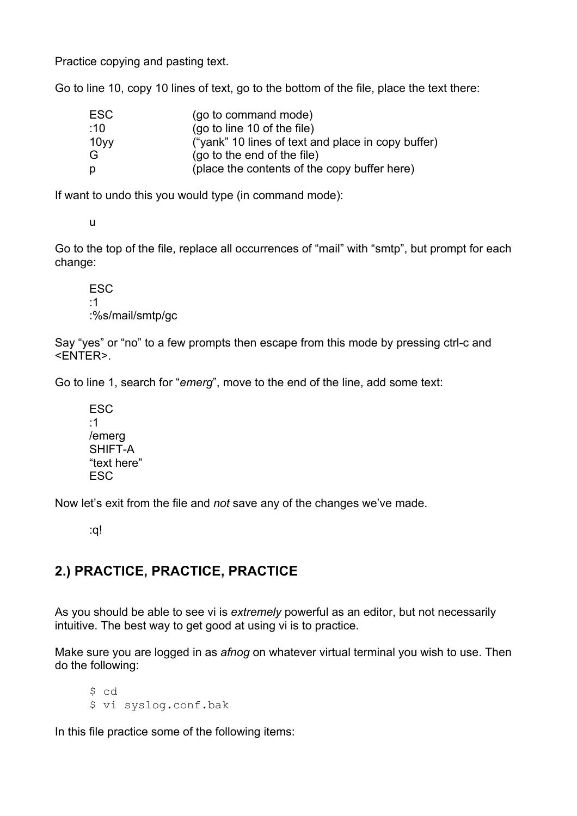Practice copying and pasting text.

Go to line 10, copy 10 lines of text, go to the bottom of the file, place the text there:

| <b>ESC</b> | (go to command mode)                               |
|------------|----------------------------------------------------|
| :10        | (go to line 10 of the file)                        |
| 10yy       | ("yank" 10 lines of text and place in copy buffer) |
| G          | (go to the end of the file)                        |
| p          | (place the contents of the copy buffer here)       |

If want to undo this you would type (in command mode):

u

Go to the top of the file, replace all occurrences of "mail" with "smtp", but prompt for each change:

ESC :1 :%s/mail/smtp/gc

Say "yes" or "no" to a few prompts then escape from this mode by pressing ctrl-c and <ENTER>.

Go to line 1, search for "*emerg*", move to the end of the line, add some text:

ESC :1 /emerg SHIFT-A "text here" ESC

Now let's exit from the file and *not* save any of the changes we've made.

:q!

## **2.) PRACTICE, PRACTICE, PRACTICE**

As you should be able to see vi is *extremely* powerful as an editor, but not necessarily intuitive. The best way to get good at using vi is to practice.

Make sure you are logged in as *afnog* on whatever virtual terminal you wish to use. Then do the following:

\$ cd \$ vi syslog.conf.bak

In this file practice some of the following items: